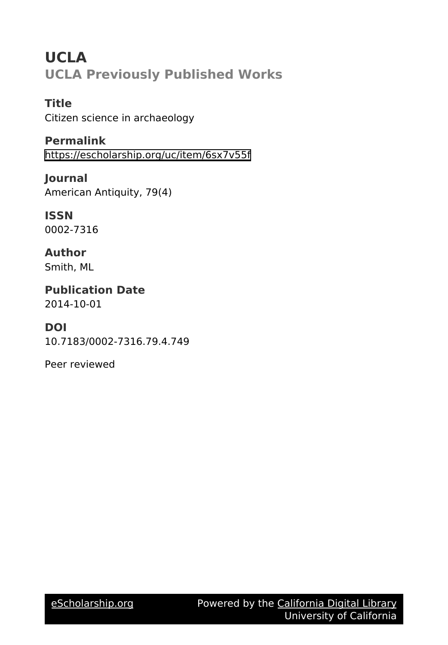**UCLA UCLA Previously Published Works**

**Title** Citizen science in archaeology

**Permalink** <https://escholarship.org/uc/item/6sx7v55f>

**Journal** American Antiquity, 79(4)

**ISSN** 0002-7316

**Author** Smith, ML

**Publication Date** 2014-10-01

# **DOI**

10.7183/0002-7316.79.4.749

Peer reviewed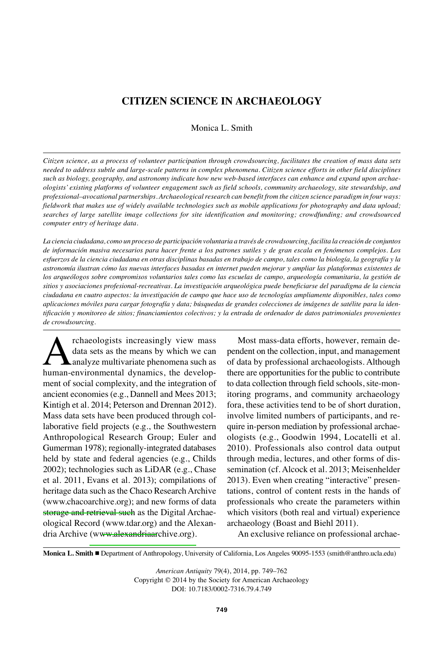# **CITIZEN SCIENCE IN ARCHAEOLOGY**

Monica L. Smith

Citizen science, as a process of volunteer participation through crowdsourcing, facilitates the creation of mass data sets needed to address subtle and large-scale patterns in complex phenomena. Citizen science efforts in other field disciplines such as biology, geography, and astronomy indicate how new web-based interfaces can enhance and expand upon archaeologists' existing platforms of volunteer engagement such as field schools, community archaeology, site stewardship, and *professional–avocational partnerships. Archaeologicalresearch can benefit from the citizen science paradigm in four ways:* fieldwork that makes use of widely available technologies such as mobile applications for photography and data upload; *searches of large satellite image collections for site identification and monitoring; crowdfunding; and crowdsourced computer entry of heritage data.*

La ciencia ciudadana, como un proceso de participación voluntaria a través de crowdsourcing, facilita la creación de conjuntos de información masiva necesarios para hacer frente a los patrones sutiles y de gran escala en fenómenos complejos. Los esfuerzos de la ciencia ciudadana en otras disciplinas basadas en trabajo de campo, tales como la biología, la geografía y la astronomía ilustran cómo las nuevas interfaces basadas en internet pueden mejorar y ampliar las plataformas existentes de los arqueólogos sobre compromisos voluntarios tales como las escuelas de campo, arqueología comunitaria, la gestión de *sitios y asociaciones profesional-recreativas. La investigación arqueológica puede beneficiarse del paradigma de la ciencia* ciudadana en cuatro aspectos: la investigación de campo que hace uso de tecnologías ampliamente disponibles, tales como aplicaciones móviles para cargar fotografía y data; búsquedas de grandes colecciones de imágenes de satélite para la identificación y monitoreo de sitios; financiamientos colectivos; y la entrada de ordenador de datos patrimoniales provenientes *de crowdsourcing.*

The rehaeologists increasingly view mass<br>data sets as the means by which we can<br>human-environmental dynamics, the developdata sets as the means by which we can analyze multivariate phenomena such as human-environmental dynamics, the development of social complexity, and the integration of ancient economies (e.g., Dannell and Mees 2013; Kintigh et al. 2014; Peterson and Drennan 2012). Mass data sets have been produced through collaborative field projects (e.g., the Southwestern Anthropological Research Group; Euler and Gumerman 1978); regionally-integrated databases held by state and federal agencies (e.g., Childs 2002); technologies such as LiDAR (e.g., Chase et al. 2011, Evans et al. 2013); compilations of heritage data such as the Chaco Research Archive [\(www.chacoarchive.org\);](http://www.chacoarchive.org) and new forms of data storage and retrieval such as the Digital Archaeological Record [\(www.tdar.org\)](http://www.tdar.org) and the Alexan-dria Archive [\(www.alexandriaarchive.org\).](http://www.alexandriaarchive.org)

Most mass-data efforts, however, remain dependent on the collection, input, and management of data by professional archaeologists. Although there are opportunities for the public to contribute to data collection through field schools, site-monitoring programs, and community archaeology fora, these activities tend to be of short duration, involve limited numbers of participants, and require in-person mediation by professional archaeologists (e.g., Goodwin 1994, Locatelli et al. 2010). Professionals also control data output through media, lectures, and other forms of dissemination (cf. Alcock et al. 2013; Meisenhelder 2013). Even when creating "interactive" presentations, control of content rests in the hands of professionals who create the parameters within which visitors (both real and virtual) experience archaeology (Boast and Biehl 2011).

An exclusive reliance on professional archae-

**Monica L. Smith ■ Department of Anthropology, University of California, Los Angeles 90095-1553 (smith@anthro.ucla.edu)** 

*American Antiquity* 79(4), 2014, pp. 749–762 Copyright © 2014 by the Society for American Archaeology DOI: 10.7183/0002-7316.79.4.749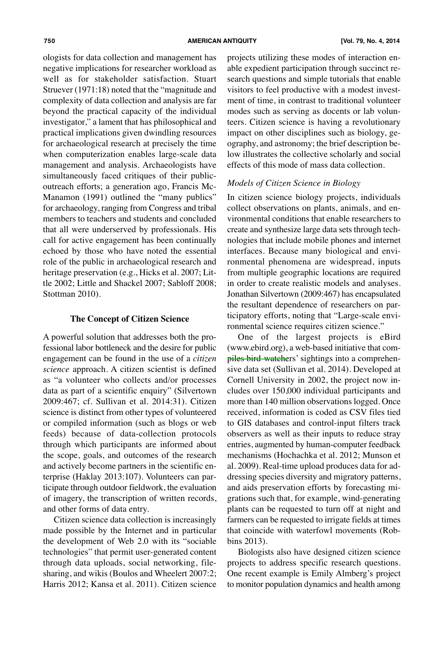#### **750 AMERICAN ANTIQUITY [Vol. 79, No. 4, 2014**

ologists for data collection and management has negative implications for researcher workload as well as for stakeholder satisfaction. Stuart Struever (1971:18) noted that the "magnitude and complexity of data collection and analysis are far beyond the practical capacity of the individual investigator," a lament that has philosophical and practical implications given dwindling resources for archaeological research at precisely the time when computerization enables large-scale data management and analysis. Archaeologists have simultaneously faced critiques of their publicoutreach efforts; a generation ago, Francis Mc-Manamon (1991) outlined the "many publics" for archaeology, ranging from Congress and tribal members to teachers and students and concluded that all were underserved by professionals. His call for active engagement has been continually echoed by those who have noted the essential role of the public in archaeological research and heritage preservation (e.g., Hicks et al. 2007; Little 2002; Little and Shackel 2007; Sabloff 2008; Stottman 2010).

#### **The Concept of Citizen Science**

A powerful solution that addresses both the professional labor bottleneck and the desire for public engagement can be found in the use of a *citizen science* approach. A citizen scientist is defined as "a volunteer who collects and/or processes data as part of a scientific enquiry" (Silvertown 2009:467; cf. Sullivan et al. 2014:31). Citizen science is distinct from other types of volunteered or compiled information (such as blogs or web feeds) because of data-collection protocols through which participants are informed about the scope, goals, and outcomes of the research and actively become partners in the scientific enterprise (Haklay 2013:107). Volunteers can participate through outdoor fieldwork, the evaluation of imagery, the transcription of written records, and other forms of data entry.

Citizen science data collection is increasingly made possible by the Internet and in particular the development of Web 2.0 with its "sociable technologies" that permit user-generated content through data uploads, social networking, filesharing, and wikis (Boulos and Wheelert 2007:2; Harris 2012; Kansa et al. 2011). Citizen science

projects utilizing these modes of interaction enable expedient participation through succinct research questions and simple tutorials that enable visitors to feel productive with a modest investment of time, in contrast to traditional volunteer modes such as serving as docents or lab volunteers. Citizen science is having a revolutionary impact on other disciplines such as biology, geography, and astronomy; the brief description below illustrates the collective scholarly and social effects of this mode of mass data collection.

### *Models of Citizen Science in Biology*

In citizen science biology projects, individuals collect observations on plants, animals, and environmental conditions that enable researchers to create and synthesize large data sets through technologies that include mobile phones and internet interfaces. Because many biological and environmental phenomena are widespread, inputs from multiple geographic locations are required in order to create realistic models and analyses. Jonathan Silvertown (2009:467) has encapsulated the resultant dependence of researchers on participatory efforts, noting that "Large-scale environmental science requires citizen science."

One of the largest projects is eBird [\(www.ebird.org\),](http://www.ebird.org) a web-based initiative that compiles bird-watchers'sightings into a comprehensive data set (Sullivan et al. 2014). Developed at Cornell University in 2002, the project now includes over 150,000 individual participants and more than 140 million observations logged. Once received, information is coded as CSV files tied to GIS databases and control-input filters track observers as well as their inputs to reduce stray entries, augmented by human-computer feedback mechanisms (Hochachka et al. 2012; Munson et al. 2009). Real-time upload produces data for addressing species diversity and migratory patterns, and aids preservation efforts by forecasting migrations such that, for example, wind-generating plants can be requested to turn off at night and farmers can be requested to irrigate fields at times that coincide with waterfowl movements (Robbins 2013).

Biologists also have designed citizen science projects to address specific research questions. One recent example is Emily Almberg's project to monitor population dynamics and health among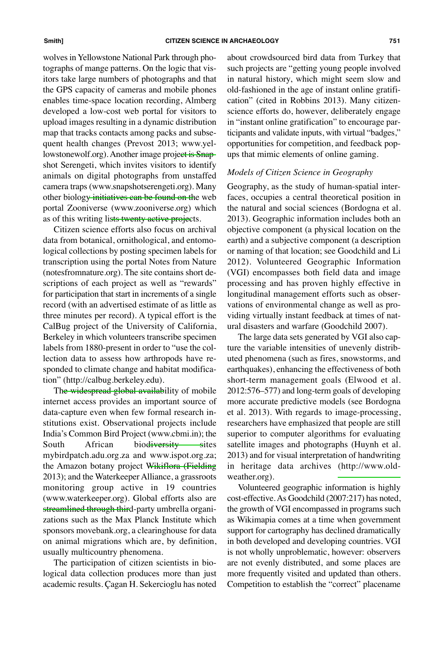wolves in Yellowstone National Park through photographs of mange patterns. On the logic that visitors take large numbers of photographs and that the GPS capacity of cameras and mobile phones enables time-space location recording, Almberg developed a low-cost web portal for visitors to upload images resulting in a dynamic distribution map that tracks contacts among packs and subsequent health changes (Prevost 2013; [www.yel](http://www.yel-)lowstonewolf.org). Another image project is Snapshot Serengeti, which invites visitors to identify animals on digital photographs from unstaffed camera traps [\(www.snapshotserengeti.org\).](http://www.snapshotserengeti.org) Many other biology initiatives can be found on the web portal Zooniverse [\(www.zooniverse.org\)](http://www.zooniverse.org) which as of this writing lists twenty active projects.

Citizen science efforts also focus on archival data from botanical, ornithological, and entomological collections by posting specimen labels for transcription using the portal Notes from Nature (notesfromnature.org). The site contains short descriptions of each project as well as "rewards" for participation that start in increments of a single record (with an advertised estimate of as little as three minutes per record). A typical effort is the CalBug project of the University of California, Berkeley in which volunteers transcribe specimen labels from 1880-present in order to "use the collection data to assess how arthropods have responded to climate change and habitat modification" [\(http://calbug.berkeley.edu\).](http://calbug.berkeley.edu)

The widespread global availability of mobile internet access provides an important source of data-capture even when few formal research institutions exist. Observational projects include India's Common Bird Project [\(www.cbmi.in\);](http://www.cbmi.in) the South African biodiversity sites mybirdpatch.adu.org.za and [www.ispot.org.za;](http://www.ispot.org.za) the Amazon botany project Wikiflora (Fielding 2013); and the Waterkeeper Alliance, a grassroots monitoring group active in 19 countries [\(www.waterkeeper.org\).](http://www.waterkeeper.org) Global efforts also are streamlined through third-party umbrella organizations such as the Max Planck Institute which sponsors movebank.org, a clearinghouse for data on animal migrations which are, by definition, usually multicountry phenomena.

The participation of citizen scientists in biological data collection produces more than just academic results. Çagan H. Sekercioglu has noted about crowdsourced bird data from Turkey that such projects are "getting young people involved in natural history, which might seem slow and old-fashioned in the age of instant online gratification" (cited in Robbins 2013). Many citizenscience efforts do, however, deliberately engage in "instant online gratification" to encourage participants and validate inputs, with virtual "badges," opportunities for competition, and feedback popups that mimic elements of online gaming.

#### *Models of Citizen Science in Geography*

Geography, as the study of human-spatial interfaces, occupies a central theoretical position in the natural and social sciences (Bordogna et al. 2013). Geographic information includes both an objective component (a physical location on the earth) and a subjective component (a description or naming of that location; see Goodchild and Li 2012). Volunteered Geographic Information (VGI) encompasses both field data and image processing and has proven highly effective in longitudinal management efforts such as observations of environmental change as well as providing virtually instant feedback at times of natural disasters and warfare (Goodchild 2007).

The large data sets generated by VGI also capture the variable intensities of unevenly distributed phenomena (such as fires, snowstorms, and earthquakes), enhancing the effectiveness of both short-term management goals (Elwood et al. 2012:576–577) and long-term goals of developing more accurate predictive models (see Bordogna et al. 2013). With regards to image-processing, researchers have emphasized that people are still superior to computer algorithms for evaluating satellite images and photographs (Huynh et al. 2013) and for visual interpretation of handwriting in heritage data archives [\(http://www.old](http://www.old-)weather.org).

Volunteered geographic information is highly cost-effective.As Goodchild (2007:217) has noted, the growth of VGI encompassed in programs such as Wikimapia comes at a time when government support for cartography has declined dramatically in both developed and developing countries. VGI is not wholly unproblematic, however: observers are not evenly distributed, and some places are more frequently visited and updated than others. Competition to establish the "correct" placename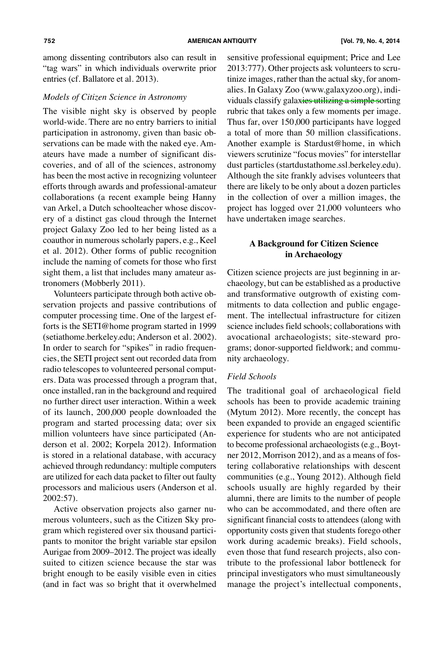among dissenting contributors also can result in "tag wars" in which individuals overwrite prior entries (cf. Ballatore et al. 2013).

#### *Models of Citizen Science in Astronomy*

The visible night sky is observed by people world-wide. There are no entry barriers to initial participation in astronomy, given than basic observations can be made with the naked eye. Amateurs have made a number of significant discoveries, and of all of the sciences, astronomy has been the most active in recognizing volunteer efforts through awards and professional-amateur collaborations (a recent example being Hanny van Arkel, a Dutch schoolteacher whose discovery of a distinct gas cloud through the Internet project Galaxy Zoo led to her being listed as a coauthor in numerous scholarly papers, e.g., Keel et al. 2012). Other forms of public recognition include the naming of comets for those who first sight them, a list that includes many amateur astronomers (Mobberly 2011).

Volunteers participate through both active observation projects and passive contributions of computer processing time. One of the largest efforts is the SETI@home program started in 1999 (setiathome.berkeley.edu; Anderson et al. 2002). In order to search for "spikes" in radio frequencies, the SETI project sent out recorded data from radio telescopes to volunteered personal computers. Data was processed through a program that, once installed, ran in the background and required no further direct user interaction. Within a week of its launch, 200,000 people downloaded the program and started processing data; over six million volunteers have since participated (Anderson et al. 2002; Korpela 2012). Information is stored in a relational database, with accuracy achieved through redundancy: multiple computers are utilized for each data packet to filter out faulty processors and malicious users (Anderson et al. 2002:57).

Active observation projects also garner numerous volunteers, such as the Citizen Sky program which registered over six thousand participants to monitor the bright variable star epsilon Aurigae from 2009–2012. The project was ideally suited to citizen science because the star was bright enough to be easily visible even in cities (and in fact was so bright that it overwhelmed sensitive professional equipment; Price and Lee 2013:777). Other projects ask volunteers to scrutinize images, rather than the actual sky, for anomalies. In Galaxy Zoo [\(www.galaxyzoo.org\),](http://www.galaxyzoo.org) individuals classify galaxies utilizing a simple sorting rubric that takes only a few moments per image. Thus far, over 150,000 participants have logged a total of more than 50 million classifications. Another example is Stardust@home, in which viewers scrutinize "focus movies" for interstellar dust particles (startdustathome.ssl.berkeley.edu). Although the site frankly advises volunteers that there are likely to be only about a dozen particles in the collection of over a million images, the project has logged over 21,000 volunteers who have undertaken image searches.

## **A Background for Citizen Science in Archaeology**

Citizen science projects are just beginning in archaeology, but can be established as a productive and transformative outgrowth of existing commitments to data collection and public engagement. The intellectual infrastructure for citizen science includes field schools; collaborations with avocational archaeologists; site-steward programs; donor-supported fieldwork; and community archaeology.

#### *Field Schools*

The traditional goal of archaeological field schools has been to provide academic training (Mytum 2012). More recently, the concept has been expanded to provide an engaged scientific experience for students who are not anticipated to become professional archaeologists (e.g., Boytner 2012, Morrison 2012), and as a means of fostering collaborative relationships with descent communities (e.g., Young 2012). Although field schools usually are highly regarded by their alumni, there are limits to the number of people who can be accommodated, and there often are significant financial costs to attendees (along with opportunity costs given that students forego other work during academic breaks). Field schools, even those that fund research projects, also contribute to the professional labor bottleneck for principal investigators who must simultaneously manage the project's intellectual components,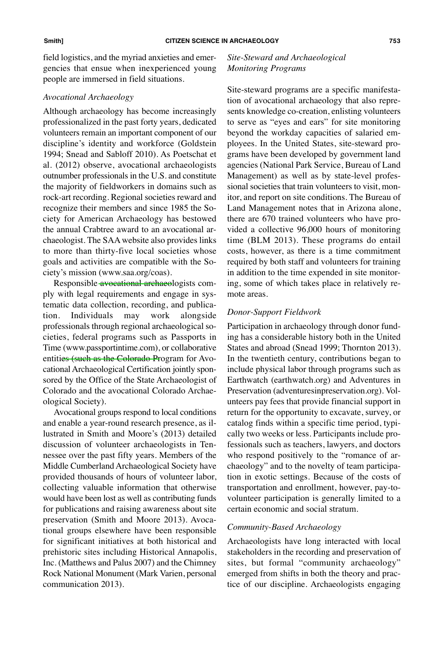field logistics, and the myriad anxieties and emergencies that ensue when inexperienced young people are immersed in field situations.

#### *Avocational Archaeology*

Although archaeology has become increasingly professionalized in the past forty years, dedicated volunteers remain an important component of our discipline's identity and workforce (Goldstein 1994; Snead and Sabloff 2010). As Poetschat et al. (2012) observe, avocational archaeologists outnumber professionals in the U.S. and constitute the majority of fieldworkers in domains such as rock-art recording. Regional societies reward and recognize their members and since 1985 the Society for American Archaeology has bestowed the annual Crabtree award to an avocational archaeologist. The SAA website also provides links to more than thirty-five local societies whose goals and activities are compatible with the Society's mission [\(www.saa.org/coas\).](http://www.saa.org/coas)

Responsible avocational archaeologists comply with legal requirements and engage in systematic data collection, recording, and publication. Individuals may work alongside professionals through regional archaeological societies, federal programs such as Passports in Time [\(www.passportintime.com\),](http://www.passportintime.com) or collaborative entities (such as the Colorado Program for Avocational Archaeological Certification jointly sponsored by the Office of the State Archaeologist of Colorado and the avocational Colorado Archaeological Society).

Avocational groups respond to local conditions and enable a year-round research presence, as illustrated in Smith and Moore's (2013) detailed discussion of volunteer archaeologists in Tennessee over the past fifty years. Members of the Middle Cumberland Archaeological Society have provided thousands of hours of volunteer labor, collecting valuable information that otherwise would have been lost as well as contributing funds for publications and raising awareness about site preservation (Smith and Moore 2013). Avocational groups elsewhere have been responsible for significant initiatives at both historical and prehistoric sites including Historical Annapolis, Inc. (Matthews and Palus 2007) and the Chimney Rock National Monument (Mark Varien, personal communication 2013).

# *Site-Steward and Archaeological Monitoring Programs*

Site-steward programs are a specific manifestation of avocational archaeology that also represents knowledge co-creation, enlisting volunteers to serve as "eyes and ears" for site monitoring beyond the workday capacities of salaried employees. In the United States, site-steward programs have been developed by government land agencies (National Park Service, Bureau of Land Management) as well as by state-level professional societies that train volunteers to visit, monitor, and report on site conditions. The Bureau of Land Management notes that in Arizona alone, there are 670 trained volunteers who have provided a collective 96,000 hours of monitoring time (BLM 2013). These programs do entail costs, however, as there is a time commitment required by both staff and volunteers for training in addition to the time expended in site monitoring, some of which takes place in relatively remote areas.

#### *Donor-Support Fieldwork*

Participation in archaeology through donor funding has a considerable history both in the United States and abroad (Snead 1999; Thornton 2013). In the twentieth century, contributions began to include physical labor through programs such as Earthwatch (earthwatch.org) and Adventures in Preservation (adventuresinpreservation.org). Volunteers pay fees that provide financial support in return for the opportunity to excavate, survey, or catalog finds within a specific time period, typically two weeks or less. Participants include professionals such as teachers, lawyers, and doctors who respond positively to the "romance of archaeology" and to the novelty of team participation in exotic settings. Because of the costs of transportation and enrollment, however, pay-tovolunteer participation is generally limited to a certain economic and social stratum.

#### *Community-Based Archaeology*

Archaeologists have long interacted with local stakeholders in the recording and preservation of sites, but formal "community archaeology" emerged from shifts in both the theory and practice of our discipline. Archaeologists engaging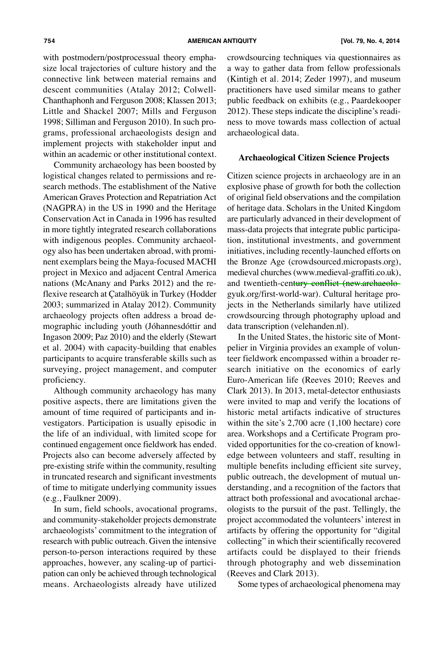with postmodern/postprocessual theory emphasize local trajectories of culture history and the connective link between material remains and descent communities (Atalay 2012; Colwell-Chanthaphonh and Ferguson 2008; Klassen 2013; Little and Shackel 2007; Mills and Ferguson 1998; Silliman and Ferguson 2010). In such programs, professional archaeologists design and implement projects with stakeholder input and within an academic or other institutional context.

Community archaeology has been boosted by logistical changes related to permissions and research methods. The establishment of the Native American Graves Protection and Repatriation Act (NAGPRA) in the US in 1990 and the Heritage Conservation Act in Canada in 1996 has resulted in more tightly integrated research collaborations with indigenous peoples. Community archaeology also has been undertaken abroad, with prominent exemplars being the Maya-focused MACHI project in Mexico and adjacent Central America nations (McAnany and Parks 2012) and the reflexive research at Çatalhöyük in Turkey (Hodder 2003; summarized in Atalay 2012). Community archaeology projects often address a broad demographic including youth (Jóhannesdóttir and Ingason 2009; Paz 2010) and the elderly (Stewart et al. 2004) with capacity-building that enables participants to acquire transferable skills such as surveying, project management, and computer proficiency.

Although community archaeology has many positive aspects, there are limitations given the amount of time required of participants and investigators. Participation is usually episodic in the life of an individual, with limited scope for continued engagement once fieldwork has ended. Projects also can become adversely affected by pre-existing strife within the community, resulting in truncated research and significant investments of time to mitigate underlying community issues (e.g., Faulkner 2009).

In sum, field schools, avocational programs, and community-stakeholder projects demonstrate archaeologists' commitment to the integration of research with public outreach. Given the intensive person-to-person interactions required by these approaches, however, any scaling-up of participation can only be achieved through technological means. Archaeologists already have utilized crowdsourcing techniques via questionnaires as a way to gather data from fellow professionals (Kintigh et al. 2014; Zeder 1997), and museum practitioners have used similar means to gather public feedback on exhibits (e.g., Paardekooper 2012). These steps indicate the discipline's readiness to move towards mass collection of actual archaeological data.

#### **Archaeological Citizen Science Projects**

Citizen science projects in archaeology are in an explosive phase of growth for both the collection of original field observations and the compilation of heritage data. Scholars in the United Kingdom are particularly advanced in their development of mass-data projects that integrate public participation, institutional investments, and government initiatives, including recently-launched efforts on the Bronze Age ([crowdsourced.micropasts.org\),](http://www.medieval-graffiti.co.uk) medieval churches(www.medieval-graffiti.co.uk), and twentieth-century conflict (new.archaeologyuk.org/first-world-war). Cultural heritage projects in the Netherlands similarly have utilized crowdsourcing through photography upload and data transcription (velehanden.nl).

In the United States, the historic site of Montpelier in Virginia provides an example of volunteer fieldwork encompassed within a broader research initiative on the economics of early Euro-American life (Reeves 2010; Reeves and Clark 2013). In 2013, metal-detector enthusiasts were invited to map and verify the locations of historic metal artifacts indicative of structures within the site's 2,700 acre (1,100 hectare) core area. Workshops and a Certificate Program provided opportunities for the co-creation of knowledge between volunteers and staff, resulting in multiple benefits including efficient site survey, public outreach, the development of mutual understanding, and a recognition of the factors that attract both professional and avocational archaeologists to the pursuit of the past. Tellingly, the project accommodated the volunteers'interest in artifacts by offering the opportunity for "digital collecting" in which their scientifically recovered artifacts could be displayed to their friends through photography and web dissemination (Reeves and Clark 2013).

Some types of archaeological phenomena may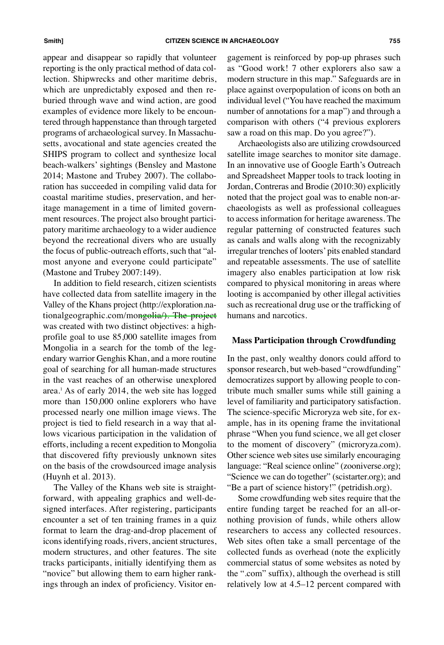appear and disappear so rapidly that volunteer reporting is the only practical method of data collection. Shipwrecks and other maritime debris, which are unpredictably exposed and then reburied through wave and wind action, are good examples of evidence more likely to be encountered through happenstance than through targeted programs of archaeological survey. In Massachusetts, avocational and state agencies created the SHIPS program to collect and synthesize local beach-walkers' sightings (Bensley and Mastone 2014; Mastone and Trubey 2007). The collaboration has succeeded in compiling valid data for coastal maritime studies, preservation, and heritage management in a time of limited government resources. The project also brought participatory maritime archaeology to a wider audience beyond the recreational divers who are usually the focus of public-outreach efforts, such that "almost anyone and everyone could participate" (Mastone and Trubey 2007:149).

In addition to field research, citizen scientists have collected data from satellite imagery in the Valley of the Khans project [\(http://exploration.na](http://exploration.na-)tionalgeographic.com/mongolia/). The project was created with two distinct objectives: a highprofile goal to use 85,000 satellite images from Mongolia in a search for the tomb of the legendary warrior Genghis Khan, and a more routine goal of searching for all human-made structures in the vast reaches of an otherwise unexplored area. <sup>1</sup> As of early 2014, the web site has logged more than 150,000 online explorers who have processed nearly one million image views. The project is tied to field research in a way that allows vicarious participation in the validation of efforts, including a recent expedition to Mongolia that discovered fifty previously unknown sites on the basis of the crowdsourced image analysis (Huynh et al. 2013).

The Valley of the Khans web site is straightforward, with appealing graphics and well-designed interfaces. After registering, participants encounter a set of ten training frames in a quiz format to learn the drag-and-drop placement of icons identifying roads, rivers, ancient structures, modern structures, and other features. The site tracks participants, initially identifying them as "novice" but allowing them to earn higher rankings through an index of proficiency. Visitor engagement is reinforced by pop-up phrases such as "Good work! 7 other explorers also saw a modern structure in this map." Safeguards are in place against overpopulation of icons on both an individual level ("You have reached the maximum number of annotations for a map") and through a comparison with others ("4 previous explorers saw a road on this map. Do you agree?").

Archaeologists also are utilizing crowdsourced satellite image searches to monitor site damage. In an innovative use of Google Earth's Outreach and Spreadsheet Mapper tools to track looting in Jordan, Contreras and Brodie (2010:30) explicitly noted that the project goal was to enable non-archaeologists as well as professional colleagues to access information for heritage awareness. The regular patterning of constructed features such as canals and walls along with the recognizably irregular trenches of looters' pits enabled standard and repeatable assessments. The use of satellite imagery also enables participation at low risk compared to physical monitoring in areas where looting is accompanied by other illegal activities such as recreational drug use or the trafficking of humans and narcotics.

#### **Mass Participation through Crowdfunding**

In the past, only wealthy donors could afford to sponsor research, but web-based "crowdfunding" democratizes support by allowing people to contribute much smaller sums while still gaining a level of familiarity and participatory satisfaction. The science-specific Microryza web site, for example, has in its opening frame the invitational phrase "When you fund science, we all get closer to the moment of discovery" (microryza.com). Other science web sites use similarly encouraging language: "Real science online" (zooniverse.org); "Science we can do together" (scistarter.org); and "Be a part of science history!" (petridish.org).

Some crowdfunding web sites require that the entire funding target be reached for an all-ornothing provision of funds, while others allow researchers to access any collected resources. Web sites often take a small percentage of the collected funds as overhead (note the explicitly commercial status of some websites as noted by the ".com" suffix), although the overhead is still relatively low at 4.5–12 percent compared with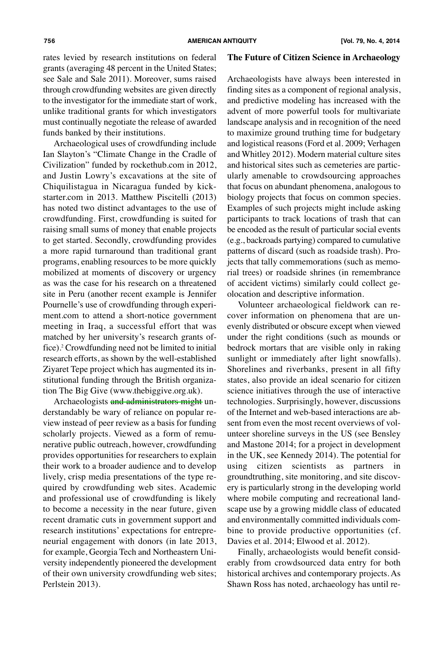rates levied by research institutions on federal grants (averaging 48 percent in the United States; see Sale and Sale 2011). Moreover, sums raised through crowdfunding websites are given directly to the investigator for the immediate start of work, unlike traditional grants for which investigators must continually negotiate the release of awarded funds banked by their institutions.

Archaeological uses of crowdfunding include Ian Slayton's "Climate Change in the Cradle of Civilization" funded by rockethub.com in 2012, and Justin Lowry's excavations at the site of Chiquilistagua in Nicaragua funded by kickstarter.com in 2013. Matthew Piscitelli (2013) has noted two distinct advantages to the use of crowdfunding. First, crowdfunding is suited for raising small sums of money that enable projects to get started. Secondly, crowdfunding provides a more rapid turnaround than traditional grant programs, enabling resources to be more quickly mobilized at moments of discovery or urgency as was the case for his research on a threatened site in Peru (another recent example is Jennifer Pournelle's use of crowdfunding through experiment.com to attend a short-notice government meeting in Iraq, a successful effort that was matched by her university's research grants office). <sup>2</sup> Crowdfunding need not be limited to initial research efforts, as shown by the well-established Ziyaret Tepe project which has augmented its institutional funding through the British organization The Big Give [\(www.thebiggive.org.uk\).](http://www.thebiggive.org.uk)

Archaeologists and administrators might understandably be wary of reliance on popular review instead of peer review as a basis for funding scholarly projects. Viewed as a form of remunerative public outreach, however, crowdfunding provides opportunities for researchers to explain their work to a broader audience and to develop lively, crisp media presentations of the type required by crowdfunding web sites. Academic and professional use of crowdfunding is likely to become a necessity in the near future, given recent dramatic cuts in government support and research institutions' expectations for entrepreneurial engagement with donors (in late 2013, for example, Georgia Tech and Northeastern University independently pioneered the development of their own university crowdfunding web sites; Perlstein 2013).

#### **The Future of Citizen Science in Archaeology**

Archaeologists have always been interested in finding sites as a component of regional analysis, and predictive modeling has increased with the advent of more powerful tools for multivariate landscape analysis and in recognition of the need to maximize ground truthing time for budgetary and logistical reasons (Ford et al. 2009; Verhagen and Whitley 2012). Modern material culture sites and historical sites such as cemeteries are particularly amenable to crowdsourcing approaches that focus on abundant phenomena, analogous to biology projects that focus on common species. Examples of such projects might include asking participants to track locations of trash that can be encoded as the result of particular social events (e.g., backroads partying) compared to cumulative patterns of discard (such as roadside trash). Projects that tally commemorations (such as memorial trees) or roadside shrines (in remembrance of accident victims) similarly could collect geolocation and descriptive information.

Volunteer archaeological fieldwork can recover information on phenomena that are unevenly distributed or obscure except when viewed under the right conditions (such as mounds or bedrock mortars that are visible only in raking sunlight or immediately after light snowfalls). Shorelines and riverbanks, present in all fifty states, also provide an ideal scenario for citizen science initiatives through the use of interactive technologies. Surprisingly, however, discussions of the Internet and web-based interactions are absent from even the most recent overviews of volunteer shoreline surveys in the US (see Bensley and Mastone 2014; for a project in development in the UK, see Kennedy 2014). The potential for using citizen scientists as partners in groundtruthing, site monitoring, and site discovery is particularly strong in the developing world where mobile computing and recreational landscape use by a growing middle class of educated and environmentally committed individuals combine to provide productive opportunities (cf. Davies et al. 2014; Elwood et al. 2012).

Finally, archaeologists would benefit considerably from crowdsourced data entry for both historical archives and contemporary projects. As Shawn Ross has noted, archaeology has until re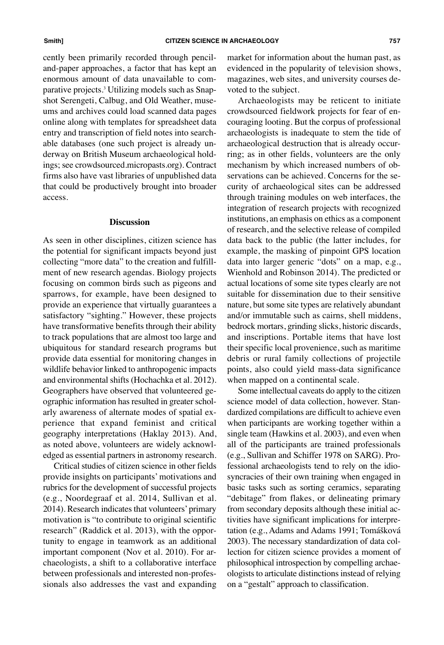cently been primarily recorded through penciland-paper approaches, a factor that has kept an enormous amount of data unavailable to comparative projects. <sup>3</sup> Utilizing models such as Snapshot Serengeti, Calbug, and Old Weather, museums and archives could load scanned data pages online along with templates for spreadsheet data entry and transcription of field notes into searchable databases (one such project is already underway on British Museum archaeological holdings; see crowdsourced.micropasts.org). Contract firms also have vast libraries of unpublished data that could be productively brought into broader access.

#### **Discussion**

As seen in other disciplines, citizen science has the potential for significant impacts beyond just collecting "more data" to the creation and fulfillment of new research agendas. Biology projects focusing on common birds such as pigeons and sparrows, for example, have been designed to provide an experience that virtually guarantees a satisfactory "sighting." However, these projects have transformative benefits through their ability to track populations that are almost too large and ubiquitous for standard research programs but provide data essential for monitoring changes in wildlife behavior linked to anthropogenic impacts and environmental shifts (Hochachka et al. 2012). Geographers have observed that volunteered geographic information has resulted in greater scholarly awareness of alternate modes of spatial experience that expand feminist and critical geography interpretations (Haklay 2013). And, as noted above, volunteers are widely acknowledged as essential partners in astronomy research.

Critical studies of citizen science in other fields provide insights on participants'motivations and rubrics for the development of successful projects (e.g., Noordegraaf et al. 2014, Sullivan et al. 2014). Research indicates that volunteers' primary motivation is "to contribute to original scientific research" (Raddick et al. 2013), with the opportunity to engage in teamwork as an additional important component (Nov et al. 2010). For archaeologists, a shift to a collaborative interface between professionals and interested non-professionals also addresses the vast and expanding

market for information about the human past, as evidenced in the popularity of television shows, magazines, web sites, and university courses devoted to the subject.

Archaeologists may be reticent to initiate crowdsourced fieldwork projects for fear of encouraging looting. But the corpus of professional archaeologists is inadequate to stem the tide of archaeological destruction that is already occurring; as in other fields, volunteers are the only mechanism by which increased numbers of observations can be achieved. Concerns for the security of archaeological sites can be addressed through training modules on web interfaces, the integration of research projects with recognized institutions, an emphasis on ethics as a component of research, and the selective release of compiled data back to the public (the latter includes, for example, the masking of pinpoint GPS location data into larger generic "dots" on a map, e.g., Wienhold and Robinson 2014). The predicted or actual locations of some site types clearly are not suitable for dissemination due to their sensitive nature, but some site types are relatively abundant and/or immutable such as cairns, shell middens, bedrock mortars, grinding slicks, historic discards, and inscriptions. Portable items that have lost their specific local provenience, such as maritime debris or rural family collections of projectile points, also could yield mass-data significance when mapped on a continental scale.

Some intellectual caveats do apply to the citizen science model of data collection, however. Standardized compilations are difficult to achieve even when participants are working together within a single team (Hawkins et al. 2003), and even when all of the participants are trained professionals (e.g., Sullivan and Schiffer 1978 on SARG). Professional archaeologists tend to rely on the idiosyncracies of their own training when engaged in basic tasks such as sorting ceramics, separating "debitage" from flakes, or delineating primary from secondary deposits although these initial activities have significant implications for interpretation (e.g., Adams and Adams 1991; Tomášková 2003). The necessary standardization of data collection for citizen science provides a moment of philosophical introspection by compelling archaeologists to articulate distinctions instead of relying on a "gestalt" approach to classification.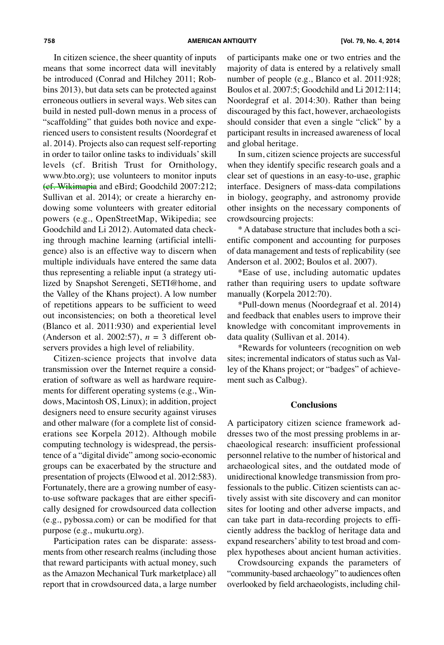In citizen science, the sheer quantity of inputs means that some incorrect data will inevitably be introduced (Conrad and Hilchey 2011; Robbins 2013), but data sets can be protected against erroneous outliers in several ways. Web sites can build in nested pull-down menus in a process of "scaffolding" that guides both novice and experienced users to consistent results (Noordegraf et al. 2014). Projects also can request self-reporting in order to tailor online tasks to individuals'skill levels (cf. British Trust for Ornithology, [www.bto.org\);](http://www.bto.org) use volunteers to monitor inputs (cf. Wikimapia and eBird; Goodchild 2007:212; Sullivan et al. 2014); or create a hierarchy endowing some volunteers with greater editorial powers (e.g., OpenStreetMap, Wikipedia; see Goodchild and Li 2012). Automated data checking through machine learning (artificial intelligence) also is an effective way to discern when multiple individuals have entered the same data thus representing a reliable input (a strategy utilized by Snapshot Serengeti, SETI@home, and the Valley of the Khans project). A low number of repetitions appears to be sufficient to weed out inconsistencies; on both a theoretical level (Blanco et al. 2011:930) and experiential level (Anderson et al. 2002:57), *n* = 3 different observers provides a high level of reliability.

Citizen-science projects that involve data transmission over the Internet require a consideration of software as well as hardware requirements for different operating systems (e.g., Windows, Macintosh OS, Linux); in addition, project designers need to ensure security against viruses and other malware (for a complete list of considerations see Korpela 2012). Although mobile computing technology is widespread, the persistence of a "digital divide" among socio-economic groups can be exacerbated by the structure and presentation of projects (Elwood et al. 2012:583). Fortunately, there are a growing number of easyto-use software packages that are either specifically designed for crowdsourced data collection (e.g., pybossa.com) or can be modified for that purpose (e.g., mukurtu.org).

Participation rates can be disparate: assessments from other research realms (including those that reward participants with actual money, such as the Amazon Mechanical Turk marketplace) all report that in crowdsourced data, a large number of participants make one or two entries and the majority of data is entered by a relatively small number of people (e.g., Blanco et al. 2011:928; Boulos et al. 2007:5; Goodchild and Li 2012:114; Noordegraf et al. 2014:30). Rather than being discouraged by this fact, however, archaeologists should consider that even a single "click" by a participant results in increased awareness of local and global heritage.

In sum, citizen science projects are successful when they identify specific research goals and a clear set of questions in an easy-to-use, graphic interface. Designers of mass-data compilations in biology, geography, and astronomy provide other insights on the necessary components of crowdsourcing projects:

\* A database structure that includes both a scientific component and accounting for purposes of data management and tests of replicability (see Anderson et al. 2002; Boulos et al. 2007).

\*Ease of use, including automatic updates rather than requiring users to update software manually (Korpela 2012:70).

\*Pull-down menus (Noordegraaf et al. 2014) and feedback that enables users to improve their knowledge with concomitant improvements in data quality (Sullivan et al. 2014).

\*Rewards for volunteers (recognition on web sites; incremental indicators of status such as Valley of the Khans project; or "badges" of achievement such as Calbug).

#### **Conclusions**

A participatory citizen science framework addresses two of the most pressing problems in archaeological research: insufficient professional personnel relative to the number of historical and archaeological sites, and the outdated mode of unidirectional knowledge transmission from professionals to the public. Citizen scientists can actively assist with site discovery and can monitor sites for looting and other adverse impacts, and can take part in data-recording projects to efficiently address the backlog of heritage data and expand researchers' ability to test broad and complex hypotheses about ancient human activities.

Crowdsourcing expands the parameters of "community-based archaeology" to audiences often overlooked by field archaeologists, including chil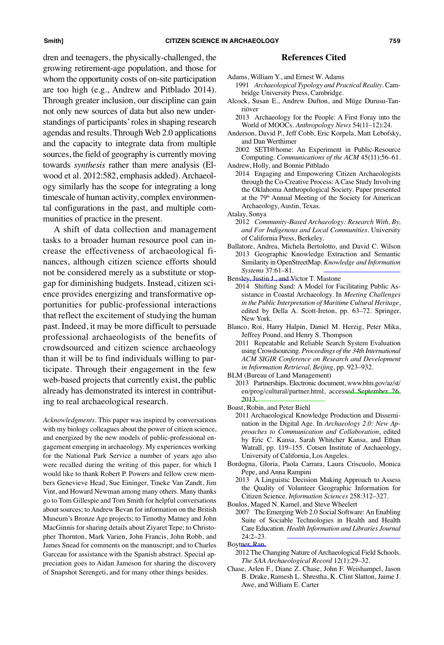dren and teenagers, the physically-challenged, the growing retirement-age population, and those for whom the opportunity costs of on-site participation are too high (e.g., Andrew and Pitblado 2014). Through greater inclusion, our discipline can gain not only new sources of data but also new understandings of participants' roles in shaping research agendas and results. Through Web 2.0 applications and the capacity to integrate data from multiple sources, the field of geography is currently moving towards *synthesis* rather than mere analysis (Elwood et al. 2012:582, emphasis added). Archaeology similarly has the scope for integrating a long timescale of human activity, complex environmental configurations in the past, and multiple communities of practice in the present.

A shift of data collection and management tasks to a broader human resource pool can increase the effectiveness of archaeological finances, although citizen science efforts should not be considered merely as a substitute or stopgap for diminishing budgets. Instead, citizen science provides energizing and transformative opportunities for public-professional interactions that reflect the excitement of studying the human past. Indeed, it may be more difficult to persuade professional archaeologists of the benefits of crowdsourced and citizen science archaeology than it will be to find individuals willing to participate. Through their engagement in the few web-based projects that currently exist, the public already has demonstrated its interest in contributing to real archaeological research.

*Acknowledgments*. This paper was inspired by conversations with my biology colleagues about the power of citizen science, and energized by the new models of public-professional engagement emerging in archaeology. My experiences working for the National Park Service a number of years ago also were recalled during the writing of this paper, for which I would like to thank Robert P. Powers and fellow crew members Genevieve Head, Sue Eininger, Tineke Van Zandt, Jim Vint, and Howard Newman among many others. Many thanks go to Tom Gillespie and Tom Smith for helpful conversations about sources; to Andrew Bevan for information on the British Museum's Bronze Age projects; to Timothy Matney and John MacGinnis for sharing details about Ziyaret Tepe; to Christopher Thornton, Mark Varien, John Francis, John Robb, and James Snead for comments on the manuscript; and to Charles Garceau for assistance with the Spanish abstract. Special appreciation goes to Aidan Jameson for sharing the discovery of Snapshot Serengeti, and for many other things besides.

#### **References Cited**

Adams, William Y., and Ernest W. Adams

- 1991 *Archaeological Typology and Practical Reality*. Cambridge University Press, Cambridge.
- Alcock, Susan E., Andrew Dufton, and Müge Durusu-Tanriöver
- 2013 Archaeology for the People: A First Foray into the World of MOOCs. *Anthropology News* 54(11–12):24.
- Anderson, David P., Jeff Cobb, Eric Korpela, Matt Lebofsky, and Dan Werthimer
- 2002 SETI@home: An Experiment in Public-Resource Computing. *Communications of the ACM* 45(11):56–61. Andrew, Holly, and Bonnie Pitblado
- 2014 Engaging and Empowering Citizen Archaeologists through the Co-Creative Process:ACase Study Involving the Oklahoma Anthropological Society. Paper presented at the 79<sup>th</sup> Annual Meeting of the Society for American Archaeology, Austin, Texas.
- Atalay, Sonya
	- 2012 *Community-Based Archaeology: Research With, By, and For Indigenous and Local Communities.* University of California Press, Berkeley.
- Ballatore, Andrea, Michela Bertolotto, and David C. Wilson 2013 Geographic Knowledge Extraction and Semantic Similarity in OpenStreetMap. *Knowledge and [Information](http://www.ingentaconnect.com/content/external-references?article=0219-1377()37L.61[aid=10422077]) [Systems](http://www.ingentaconnect.com/content/external-references?article=0219-1377()37L.61[aid=10422077])* [37:61–81.](http://www.ingentaconnect.com/content/external-references?article=0219-1377()37L.61[aid=10422077])
- Bensley, Justin J., and Victor T. Mastone
- 2014 Shifting Sand: A Model for Facilitating Public Assistance in Coastal Archaeology. In *Meeting Challenges in the Public Interpretation of Maritime Cultural Heritage*, edited by Della A. Scott-Ireton, pp. 63–72. Springer, New York.
- Blanco, Roi, Harry Halpin, Daniel M. Herzig, Peter Mika, Jeffrey Pound, and Henry S. Thompson
	- 2011 Repeatable and Reliable Search System Evaluation using Crowdsourcing. *Proceedings of the 34th International ACM SIGIR Conference on Research and Development in Information Retrieval, Beijing*, pp. 923–932.

BLM (Bureau of Land Management)

 2013 Partnerships. Electronic document, [www.blm.gov/az/st/](http://www.blm.gov/az/st/en/prog/cultural/partner.html) [en/prog/cultural/partner.html,](http://www.blm.gov/az/st/en/prog/cultural/partner.html) accessed September 26, 2013.

Boast, Robin, and Peter Biehl

- 2011 Archaeological Knowledge Production and Dissemination in the Digital Age. In *Archaeology 2.0: New Approaches to Communication and Collaboration*, edited by Eric C. Kansa, Sarah Whitcher Kansa, and Ethan Watrall, pp. 119–155. Cotsen Institute of Archaeology, University of California, Los Angeles.
- Bordogna, Gloria, Paola Carrara, Laura Criscuolo, Monica Pepe, and Anna Rampini
	- 2013 A Linguistic Decision Making Approach to Assess the Quality of Volunteer Geographic Information for Citizen Science. *Information Sciences* 258:312–327.
- Boulos, Maged N. Kamel, and Steve Wheelert
	- 2007 The Emerging Web 2.0 Social Software:An Enabling Suite of Sociable [Technologies](http://www.ingentaconnect.com/content/external-references?article=1471-1834()24L.2[aid=10422075]) in Health and Health Care Education. *Health Information and Libraries Journal* [24:2–23.](http://www.ingentaconnect.com/content/external-references?article=1471-1834()24L.2[aid=10422075])

Boytner, Ran

- 2012 The Changing Nature of Archaeological Field Schools. *The SAA Archaeological Record* 12(1):29–32.
- Chase, Arlen F., Diane Z. Chase, John F. Weishampel, Jason B. Drake, Ramesh L. Shrestha, K. Clint Slatton, Jaime J. Awe, and William E. Carter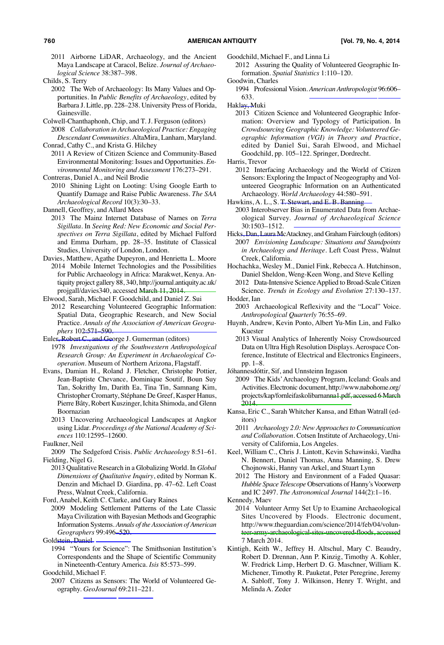2011 Airborne LiDAR, Archaeology, and the Ancient Maya Landscape at Caracol, Belize. *Journal of Archaeological Science* 38:387–398.

- 2002 The Web of Archaeology: Its Many Values and Opportunities. In *Public Benefits of Archaeology*, edited by Barbara J. Little, pp. 228–238. University Press of Florida, Gainesville.
- Colwell-Chanthaphonh, Chip, and T. J. Ferguson (editors) 2008 *Collaboration in Archaeological Practice: Engaging Descendant Communities*. AltaMira, Lanham, Maryland. Conrad, Cathy C., and Krista G. Hilchey
- 2011 A Review of Citizen Science and Community-Based Environmental Monitoring: Issues and Opportunities. *Environmental Monitoring and Assessment* 176:273–291.

Contreras, Daniel A., and Neil Brodie

 2010 Shining Light on Looting: Using Google Earth to Quantify Damage and Raise Public Awareness. *The SAA Archaeological Record* 10(3):30–33.

- 2013 The Mainz Internet Database of Names on *Terra Sigillata*. In *Seeing Red: New Economic and Social Perspectives on Terra Sigillata*, edited by Michael Fulford and Emma Durham, pp. 28–35. Institute of Classical Studies, University of London, London.
- Davies, Matthew, Agathe Dupeyron, and Henrietta L. Moore 2014 Mobile Internet Technologies and the Possibilities for Public Archaeology in Africa: Marakwet, Kenya. Antiquity project gallery 88, 340, <http://journal.antiquity.ac.uk/> projgall/davies340, accessed March 11, 2014
- Elwood, Sarah, Michael F. Goodchild, and Daniel Z. Sui 2012 Researching Volunteered Geographic Information: Spatial Data, [Geographic](http://www.ingentaconnect.com/content/external-references?article=0004-5608()102L.571[aid=10422087]) Research, and New Social [Practi](http://www.ingentaconnect.com/content/external-references?article=0004-5608()102L.571[aid=10422087])ce. *Annals of the Association of American Geographers* [102:571–590.](http://www.ingentaconnect.com/content/external-references?article=0004-5608()102L.571[aid=10422087])

Euler, Robert C., and George J. Gumerman (editors)

- 1978 *Investigations of the Southwestern Anthropological Research Group: An Experiment in Archaeological Cooperation*. Museum of Northern Arizona, Flagstaff.
- Evans, Damian H., Roland J. Fletcher, Christophe Pottier, Jean-Baptiste Chevance, Dominique Soutif, Boun Suy Tan, Sokrithy Im, Darith Ea, Tina Tin, Samnang Kim, Christopher Cromarty, Stéphane De Greef, Kasper Hanus, Pierre Bâty, Robert Kuszinger, Ichita Shimoda, and Glenn Boornazian
	- 2013 Uncovering Archaeological Landscapes at Angkor using Lidar. *Proceedings of the National Academy of Sciences* 110:12595–12600.

- 2009 The Sedgeford Crisis. *Public Archaeology* 8:51–61. Fielding, Nigel G.
	- 2013 Qualitative Research in a Globalizing World. In *Global Dimensions of Qualitative Inquiry*, edited by Norman K. Denzin and Michael D. Giardina, pp. 47–62. Left Coast Press, Walnut Creek, California.

Ford, Anabel, Keith C. Clarke, and Gary Raines

 2009 Modeling Settlement Patterns of the Late Classic Maya Civilization with Bayesian Methods and Geographic Information Systems. *Annals of [theAssociation](http://www.ingentaconnect.com/content/external-references?article=0004-5608()99L.496[aid=10422084]) ofAmerican [Geographers](http://www.ingentaconnect.com/content/external-references?article=0004-5608()99L.496[aid=10422084])* [99:496–520.](http://www.ingentaconnect.com/content/external-references?article=0004-5608()99L.496[aid=10422084])

Goldstein, Daniel

- 1994 "Yours for Science": The Smithsonian Institution's Correspondents and the Shape of Scientific Community in Nineteenth-Century America. *Isis* 85:573–599. Goodchild, Michael F.
	- 2007 Citizens as Sensors: The World of Volunteered Geography. *[GeoJournal](http://www.ingentaconnect.com/content/external-references?article=0343-2521()69L.211[aid=9085845])* [69:211–221.](http://www.ingentaconnect.com/content/external-references?article=0343-2521()69L.211[aid=9085845])

Goodchild, Michael F., and Linna Li

 2012 Assuring the Quality of Volunteered Geographic Information. *Spatial Statistics* 1:110–120.

 1994 Professional Vision. *American [Anthropologist](http://www.ingentaconnect.com/content/external-references?article=0002-7294()96L.606[aid=567895])* [96:606–](http://www.ingentaconnect.com/content/external-references?article=0002-7294()96L.606[aid=567895]) [633.](http://www.ingentaconnect.com/content/external-references?article=0002-7294()96L.606[aid=567895])

 2013 Citizen Science and Volunteered Geographic Information: Overview and Typology of Participation. In *Crowdsourcing Geographic Knowledge: Volunteered Geographic Information (VGI) in Theory and Practice*, edited by Daniel Sui, Sarah Elwood, and Michael Goodchild, pp. 105–122. Springer, Dordrecht.

Harris, Trevor

 2012 Interfacing Archaeology and the World of Citizen Sensors: Exploring the Impact of Neogeography and Volunteered Geographic Information on an Authenticated Archaeology. *World [Archaeology](http://www.ingentaconnect.com/content/external-references?article=0043-8243()44L.580[aid=10422081])* [44:580–591.](http://www.ingentaconnect.com/content/external-references?article=0043-8243()44L.580[aid=10422081])

#### Hawkins, A. L., S. T. Stewart, and E. B. Banning

 2003 Interobserver Bias in Enumerated Data from Archaeological Survey. *Journal of [Archaeological](http://www.ingentaconnect.com/content/external-references?article=0305-4403()30L.1503[aid=9157634]) Science* [30:1503–1512.](http://www.ingentaconnect.com/content/external-references?article=0305-4403()30L.1503[aid=9157634])

- Hicks, Dan, Laura McAtackney, and Graham Fairclough (editors) 2007 *Envisioning Landscape: Situations and Standpoints in Archaeology and Heritage*. Left Coast Press, Walnut Creek, California.
- Hochachka, Wesley M., Daniel Fink, Rebecca A. Hutchinson, Daniel Sheldon, Weng-Keen Wong, and Steve Kelling
- 2012 Data-Intensive Science Applied to Broad-Scale Citizen Science. *Trends in Ecology and Evolution* 27:130–137. Hodder, Ian
	- 2003 Archaeological Reflexivity and the "Local" Voice. *Anthropological Quarterly* 76:55–69.
- Huynh, Andrew, Kevin Ponto, Albert Yu-Min Lin, and Falko Kuester
	- 2013 Visual Analytics of Inherently Noisy Crowdsourced Data on Ultra High Resolution Displays.Aerospace Conference, Institute of Electrical and Electronics Engineers, pp. 1–8.

Jóhannesdóttir, Sif, and Unnsteinn Ingason

- 2009 The Kids'Archaeology Program, Iceland: Goals and Activities. Electronic document, [http://www.nabohome.org/](http://www.nabohome.org/projects/kap/fornleifaskolibarnanna1.pdf) [projects/kap/fornleifaskolibarnanna1.pdf,](http://www.nabohome.org/projects/kap/fornleifaskolibarnanna1.pdf) accessed 6 March 2014.
- Kansa, Eric C., Sarah Whitcher Kansa, and Ethan Watrall (editors)
	- 2011 *Archaeology 2.0: NewApproachesto Communication* and Collaboration. Cotsen Institute of Archaeology, University of California, Los Angeles.
- Keel, William C., Chris J. Lintott, Kevin Schawinski, Vardha N. Bennert, Daniel Thomas, Anna Manning, S. Drew Chojnowski, Hanny van Arkel, and Stuart Lynn
	- 2012 The History and Environment of a Faded Quasar: *Hubble Space Telescope* Observations of Hanny's Voorwerp and IC 2497. *The Astronomical Journal* 144(2):1–16.
- Kennedy, Maev
	- 2014 Volunteer Army Set Up to Examine Archaeological Sites Uncovered by Floods. Electronic document, [http://www.theguardian.com/science/2014/feb/04/volun](http://www.theguardian.com/science/2014/feb/04/volun-)teer-army-archaeological-sites-uncovered-floods, accessed 7 March 2014.
- Kintigh, Keith W., Jeffrey H. Altschul, Mary C. Beaudry, Robert D. Drennan, Ann P. Kinzig, Timothy A. Kohler, W. Fredrick Limp, Herbert D. G. Maschner, William K. Michener, Timothy R. Pauketat, Peter Peregrine, Jeremy A. Sabloff, Tony J. Wilkinson, Henry T. Wright, and Melinda A. Zeder

Childs, S. Terry

Dannell, Geoffrey, and Allard Mees

Faulkner, Neil

Goodwin, Charles

Haklay, Muki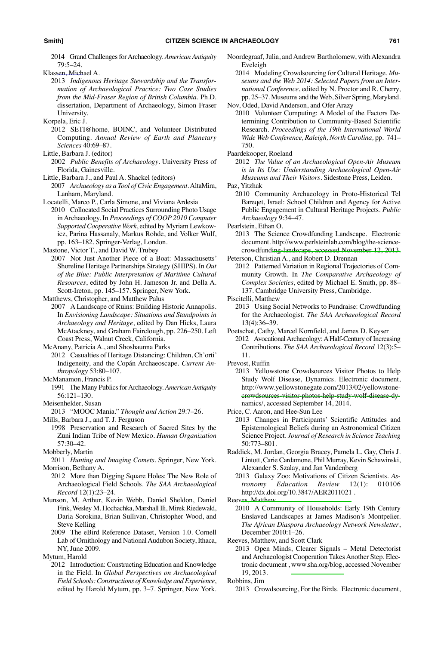Klassen, Michael A.

- 2013 *Indigenous Heritage Stewardship and the Transformation of Archaeological Practice: Two Case Studies from the Mid-Fraser Region of British Columbia*. Ph.D. dissertation, Department of Archaeology, Simon Fraser University.
- Korpela, Eric J.
- 2012 SETI@home, BOINC, and Volunteer Distributed Computing. *Annual Review of Earth and Planetary Sciences* 40:69–87.
- Little, Barbara J. (editor)
- 2002 *Public Benefits of Archaeology*. University Press of Florida, Gainesville.

 2007 *Archaeology as a Tool of Civic Engagement*.AltaMira, Lanham, Maryland.

Locatelli, Marco P., Carla Simone, and Viviana Ardesia

 2010 Collocated Social Practices Surrounding Photo Usage inArchaeology. In *Proceedings of COOP 2010 Computer Supported Cooperative Work*, edited by Myriam Lewkowicz, Parina Hassanaly, Markus Rohde, and Volker Wulf, pp. 163–182. Springer-Verlag, London.

Mastone, Victor T., and David W. Trubey

- 2007 Not Just Another Piece of a Boat: Massachusetts' Shoreline Heritage Partnerships Strategy (SHIPS). In *Out of the Blue: Public Interpretation of Maritime Cultural Resources*, edited by John H. Jameson Jr. and Della A. Scott-Ireton, pp. 145–157. Springer, New York.
- Matthews, Christopher, and Matthew Palus
- 2007 A Landscape of Ruins: Building Historic Annapolis. In *Envisioning Landscape: Situations and Standpoints in Archaeology and Heritage*, edited by Dan Hicks, Laura McAtackney, and Graham Fairclough, pp. 226–250. Left Coast Press, Walnut Creek, California.

McAnany, Patricia A., and Shoshaunna Parks

- 2012 Casualties of Heritage Distancing: Children, Ch'orti' Indigeneity, and the Copán Archaeoscape. *Current Anthropology* 53:80–107.
- McManamon, Francis P.
	- 1991 The Many Publics for Archaeology. American Antiquity 56:121–130.
- Meisenhelder, Susan
- 2013 "MOOC Mania." *Thought and Action* 29:7–26.
- Mills, Barbara J., and T. J. Ferguson
	- 1998 Preservation and Research of Sacred Sites by the Zuni Indian Tribe of New Mexico. *Human Organization* 57:30–42.
- Mobberly, Martin
- 2011 *Hunting and Imaging Comets*. Springer, New York. Morrison, Bethany A.
- 2012 More than Digging Square Holes: The New Role of Archaeological Field Schools. *The SAA Archaeological Record* 12(1):23–24.
- Munson, M. Arthur, Kevin Webb, Daniel Sheldon, Daniel Fink, Wesley M. Hochachka, Marshall Ili, Mirek Riedewald, Daria Sorokina, Brian Sullivan, Christopher Wood, and Steve Kelling
	- 2009 The eBird Reference Dataset, Version 1.0. Cornell Lab of Ornithology and National Audubon Society, Ithaca, NY, June 2009.

Mytum, Harold

 2012 Introduction: Constructing Education and Knowledge in the Field. In *Global Perspectives on Archaeological Field Schools: Constructions of Knowledge and Experience*, edited by Harold Mytum, pp. 3–7. Springer, New York.

- Noordegraaf, Julia, and Andrew Bartholomew, with Alexandra Eveleigh
- 2014 Modeling Crowdsourcing for Cultural Heritage. *Museums and the Web 2014: Selected Papers from an International Conference*, edited by N. Proctor and R. Cherry, pp. 25–37. Museums and theWeb, Silver Spring, Maryland. Nov, Oded, David Anderson, and Ofer Arazy
	- 2010 Volunteer Computing: A Model of the Factors Determining Contribution to Community-Based Scientific Research. *Proceedings of the 19th International World Wide Web Conference, Raleigh, North Carolina,* pp. 741– 750.
- Paardekooper, Roeland

 2012 *The Value of an Archaeological Open-Air Museum is in Its Use: Understanding Archaeological Open-Air Museums and Their Visitors*. Sidestone Press, Leiden.

Paz, Yitzhak

 2010 Community Archaeology in Proto-Historical Tel Bareqet, Israel: School Children and Agency for Active Public Engagement in Cultural Heritage Projects. *Public Archaeology* 9:34–47.

Pearlstein, Ethan O.

 2013 The Science Crowdfunding Landscape. Electronic document. [http://www.perlsteinlab.com/blog/the-science](http://www.perlsteinlab.com/blog/the-science-)crowdfunding-landscape, accessed November 12, 2013.

Peterson, Christian A., and Robert D. Drennan

 2012 Patterned Variation in Regional Trajectories of Community Growth. In *The Comparative Archaeology of Complex Societies*, edited by Michael E. Smith, pp. 88– 137. Cambridge University Press, Cambridge.

Piscitelli, Matthew

- 2013 Using Social Networks to Fundraise: Crowdfunding for the Archaeologist. *The SAA Archaeological Record* 13(4):36–39.
- Poetschat, Cathy, Marcel Kornfield, and James D. Keyser
	- 2012 Avocational Archaeology: A Half-Century of Increasing Contributions. *The SAA Archaeological Record* 12(3):5– 11.

- 2013 Yellowstone Crowdsources Visitor Photos to Help Study Wolf Disease, Dynamics. Electronic document, [http://www.yellowstonegate.com/2013/02/yellowstone](http://www.yellowstonegate.com/2013/02/yellowstone-)crowdsources-visitor-photos-help-study-wolf-disease-dynamics/, accessed September 14, 2014.
- Price, C. Aaron, and Hee-Sun Lee
	- 2013 Changes in Participants' Scientific Attitudes and Epistemological Beliefs during an Astronomical Citizen Science Project. *Journal of Research in Science Teaching* 50:773–801.
- Raddick, M. Jordan, Georgia Bracey, Pamela L. Gay, Chris J. Lintott, Carie Cardamone, Phil Murray, Kevin Schawinski, Alexander S. Szalay, and Jan Vandenberg
	- 2013 Galaxy Zoo: Motivations of Citizen Scientists. *Astronomy Education Review* 12(1): 010106 <http://dx.doi.org/10.3847/AER2011021> .
- Reeves, Matthew
	- 2010 A Community of Households: Early 19th Century Enslaved Landscapes at James Madison's Montpelier. *The African Diaspora Archaeology Network Newsletter*, December 2010:1–26.

Reeves, Matthew, and Scott Clark

 2013 Open Minds, Clearer Signals – Metal Detectorist and Archaeologist Cooperation Takes Another Step. Electronic document , [www.sha.org/blog,](http://www.sha.org/blog) accessed November 19, 2013.

Robbins, Jim

Little, Barbara J., and Paul A. Shackel (editors)

Prevost, Ruffin

 <sup>2013</sup> Crowdsourcing, For the Birds. Electronic document,